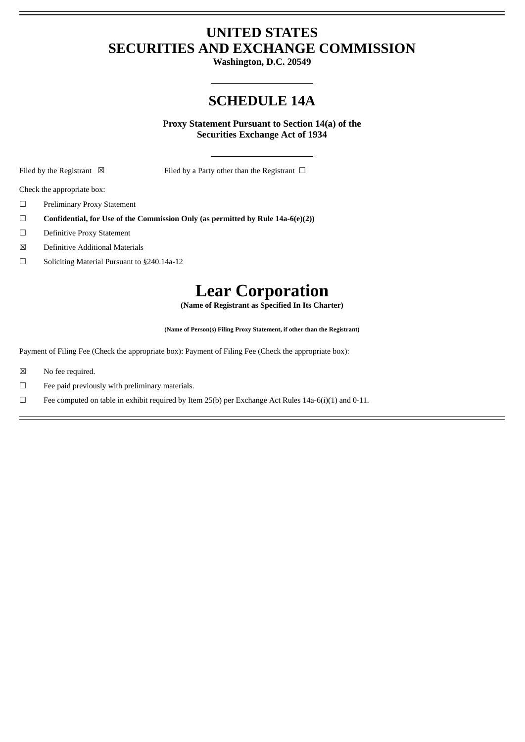## **UNITED STATES SECURITIES AND EXCHANGE COMMISSION**

**Washington, D.C. 20549**

## **SCHEDULE 14A**

**Proxy Statement Pursuant to Section 14(a) of the Securities Exchange Act of 1934**

Filed by the Registrant  $\boxtimes$  Filed by a Party other than the Registrant  $\Box$ 

Check the appropriate box:

- ☐ Preliminary Proxy Statement
- ☐ **Confidential, for Use of the Commission Only (as permitted by Rule 14a-6(e)(2))**
- ☐ Definitive Proxy Statement
- ☒ Definitive Additional Materials
- ☐ Soliciting Material Pursuant to §240.14a-12

## **Lear Corporation**

**(Name of Registrant as Specified In Its Charter)**

**(Name of Person(s) Filing Proxy Statement, if other than the Registrant)**

Payment of Filing Fee (Check the appropriate box): Payment of Filing Fee (Check the appropriate box):

- ☒ No fee required.
- $\Box$  Fee paid previously with preliminary materials.
- $\Box$  Fee computed on table in exhibit required by Item 25(b) per Exchange Act Rules 14a-6(i)(1) and 0-11.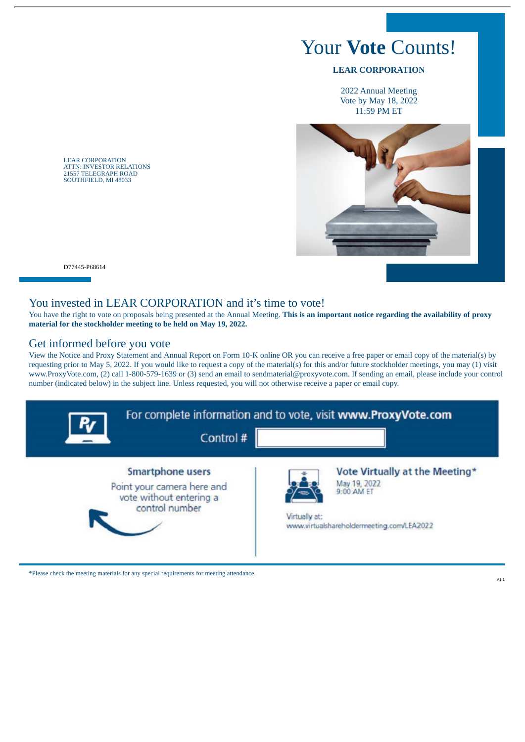# Your **Vote** Counts!

#### **LEAR CORPORATION**

2022 Annual Meeting Vote by May 18, 2022 11:59 PM ET



LEAR CORPORATION ATTN: INVESTOR RELATIONS 21557 TELEGRAPH ROAD SOUTHFIELD, MI 48033

D77445-P68614

#### You invested in LEAR CORPORATION and it's time to vote!

You have the right to vote on proposals being presented at the Annual Meeting. **This is an important notice regarding the availability of proxy material for the stockholder meeting to be held on May 19, 2022.**

#### Get informed before you vote

View the Notice and Proxy Statement and Annual Report on Form 10-K online OR you can receive a free paper or email copy of the material(s) by requesting prior to May 5, 2022. If you would like to request a copy of the material(s) for this and/or future stockholder meetings, you may (1) visit www.ProxyVote.com, (2) call 1-800-579-1639 or (3) send an email to sendmaterial@proxyvote.com. If sending an email, please include your control number (indicated below) in the subject line. Unless requested, you will not otherwise receive a paper or email copy.



\*Please check the meeting materials for any special requirements for meeting attendance.